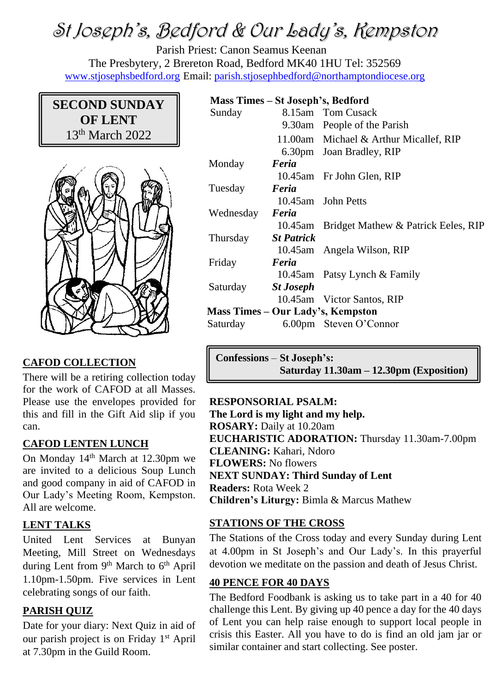# St Joseph's, Bedford & Our Lady's, Kempston

Parish Priest: Canon Seamus Keenan The Presbytery, 2 Brereton Road, Bedford MK40 1HU Tel: 352569 [www.stjosephsbedford.org](http://www.stjosephsbedford.org/) Email: [parish.stjosephbedford@northamptondiocese.org](mailto:parish.stjosephbedford@northamptondiocese.org)

# **SECOND SUNDAY OF LENT** 13<sup>th</sup> March 2022



## **CAFOD COLLECTION**

There will be a retiring collection today for the work of CAFOD at all Masses. Please use the envelopes provided for this and fill in the Gift Aid slip if you can.

#### **CAFOD LENTEN LUNCH**

On Monday 14th March at 12.30pm we are invited to a delicious Soup Lunch and good company in aid of CAFOD in Our Lady's Meeting Room, Kempston. All are welcome.

## **LENT TALKS**

United Lent Services at Bunyan Meeting, Mill Street on Wednesdays during Lent from 9<sup>th</sup> March to 6<sup>th</sup> April 1.10pm-1.50pm. Five services in Lent celebrating songs of our faith.

## **PARISH QUIZ**

Date for your diary: Next Quiz in aid of our parish project is on Friday 1<sup>st</sup> April at 7.30pm in the Guild Room.

## **Mass Times – St Joseph's, Bedford**

| $1.1400$ $1.11100$ $0.0000$ $0.000$ $0.000$ $0.0000$ |                   |                                             |  |  |
|------------------------------------------------------|-------------------|---------------------------------------------|--|--|
| Sunday                                               |                   | 8.15am Tom Cusack                           |  |  |
|                                                      |                   | 9.30am People of the Parish                 |  |  |
|                                                      |                   | 11.00am Michael & Arthur Micallef, RIP      |  |  |
|                                                      |                   | 6.30pm Joan Bradley, RIP                    |  |  |
| Monday                                               | Feria             |                                             |  |  |
|                                                      |                   | 10.45am Fr John Glen, RIP                   |  |  |
| Tuesday                                              | Feria             |                                             |  |  |
|                                                      |                   | 10.45am John Petts                          |  |  |
| Wednesday                                            | Feria             |                                             |  |  |
|                                                      |                   | 10.45am Bridget Mathew & Patrick Eeles, RIP |  |  |
| Thursday                                             | <b>St Patrick</b> |                                             |  |  |
|                                                      |                   | 10.45am Angela Wilson, RIP                  |  |  |
| Friday                                               | Feria             |                                             |  |  |
|                                                      |                   | 10.45am Patsy Lynch & Family                |  |  |
| Saturday                                             | <b>St Joseph</b>  |                                             |  |  |
|                                                      |                   | 10.45am Victor Santos, RIP                  |  |  |
| <b>Mass Times – Our Lady's, Kempston</b>             |                   |                                             |  |  |
| Saturday                                             |                   | 6.00pm Steven O'Connor                      |  |  |
|                                                      |                   |                                             |  |  |

**Confessions** – **St Joseph's: Saturday 11.30am – 12.30pm (Exposition)**

## **RESPONSORIAL PSALM:**

**The Lord is my light and my help. ROSARY:** Daily at 10.20am **EUCHARISTIC ADORATION:** Thursday 11.30am-7.00pm **CLEANING:** Kahari, Ndoro **FLOWERS:** No flowers **NEXT SUNDAY: Third Sunday of Lent Readers:** Rota Week 2 **Children's Liturgy:** Bimla & Marcus Mathew

## **STATIONS OF THE CROSS**

The Stations of the Cross today and every Sunday during Lent at 4.00pm in St Joseph's and Our Lady's. In this prayerful devotion we meditate on the passion and death of Jesus Christ.

## **40 PENCE FOR 40 DAYS**

The Bedford Foodbank is asking us to take part in a 40 for 40 challenge this Lent. By giving up 40 pence a day for the 40 days of Lent you can help raise enough to support local people in crisis this Easter. All you have to do is find an old jam jar or similar container and start collecting. See poster.